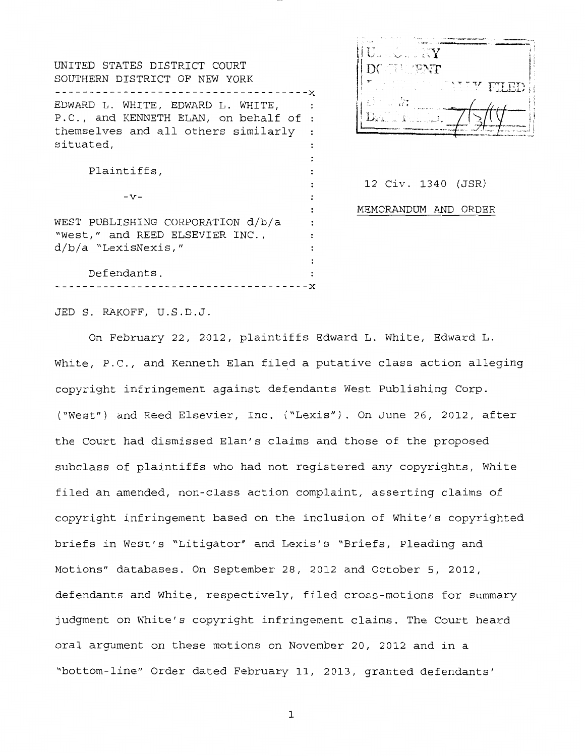UNITED STATES DISTRICT COURT SOUTHERN DISTRICT OF NEW YORK -------------------------------------x EDWARD L. WHITE, EDWARD L. WHITE,  $\ddot{\phantom{a}}$ P.C., and KENNETH ELAN, on behalf of themselves and all others similarly  $\colon$ situated, : Plaintiffs,  $\colon$  $\ddot{\phantom{a}}$  $-V \ddot{\cdot}$ WEST PUBLISHING CORPORATION d/b/a  $\ddot{\cdot}$ "West," and REED ELSEVIER INC., d/b/a "LexisNexis," Defendants.

-------------------------------------x



12 Civ. 1340 (JSR) MEMORANDUM AND ORDER

JED S. RAKOFF, U.S.D.J.

On February 22, 2012, plaintiffs Edward L. White, Edward L. White, P.C., and Kenneth Elan filed a putative class action alleging copyright infringement against defendants West Publishing Corp. ("West") and Reed Elsevier, Inc. ("Lexis"). On June 26, 2012, after the Court had dismissed Elan's claims and those of the proposed subclass of plaintiffs who had not registered any copyrights, White filed an amended, non-class action complaint, asserting claims of copyright infringement based on the inclusion of White's copyrighted briefs in West's "Litigator" and Lexis's "Briefs, Pleading and Motions" databases. On September 28, 2012 and October 5, 2012, defendants and White, respectively, filed cross-motions for summary judgment on White's copyright infringement claims. The Court heard oral argument on these motions on November 20, 2012 and in a "bottom-line" Order dated February 11, 2013, granted defendants'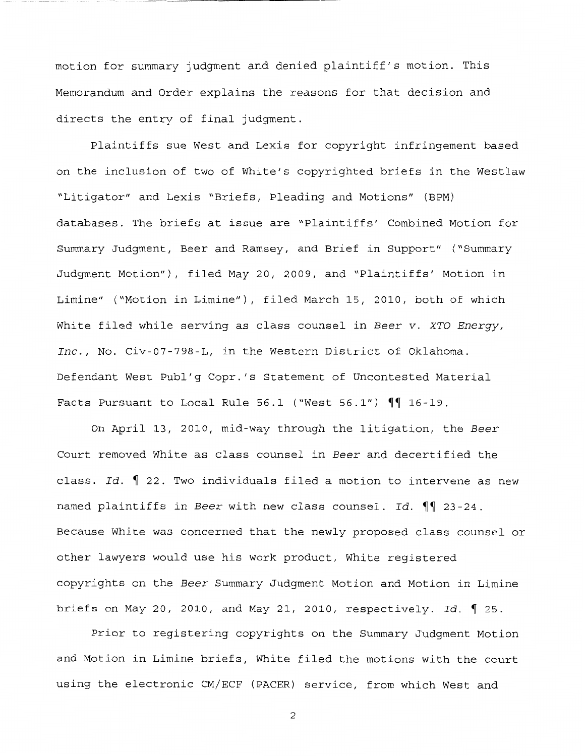motion for summary judgment and denied plaintiff's motion. This Memorandum and Order explains the reasons for that decision and directs the entry of final judgment.

Plaintiffs sue West and Lexis for copyright infringement based on the inclusion of two of White's copyrighted briefs in the Westlaw "Litigator" and Lexis "Briefs, Pleading and Motions" (BPM) databases. The briefs at issue are "Plaintiffs' Combined Motion for Summary Judgment, Beer and Ramsey, and Brief in Support" ("Summary Judgment Motion"), filed May 20, 2009, and "Plaintiffs' Motion in Limine" ("Motion in Limine"), filed March 15, 2010, both of which White filed while serving as class counsel in *Beer v. XTO Energy, Inc.,* No. Civ-07-798-L, in the Western District of Oklahoma. Defendant West Publ'g Copr.'s Statement of Uncontested Material Facts Pursuant to Local Rule 56.1 ("West 56.1")  $\P\P$  16-19.

On April 13, 2010, mid-way through the litigation, the *Beer*  Court removed White as class counsel in *Beer* and decertified the class. *Id.* 122. Two individuals filed a motion to intervene as new named plaintiffs in *Beer* with new class counsel. Id.  $\P$  23-24. Because White was concerned that the newly proposed class counsel or other lawyers would use his work product, White registered copyrights on the *Beer* Summary Judgment Motion and Motion in Limine briefs on May 20, 2010, and May 21, 2010, respectively. Id. 1 25.

Prior to registering copyrights on the Summary Judgment Motion and Motion in Limine briefs, White filed the motions with the court using the electronic CM/ECF (PACER) service, from which West and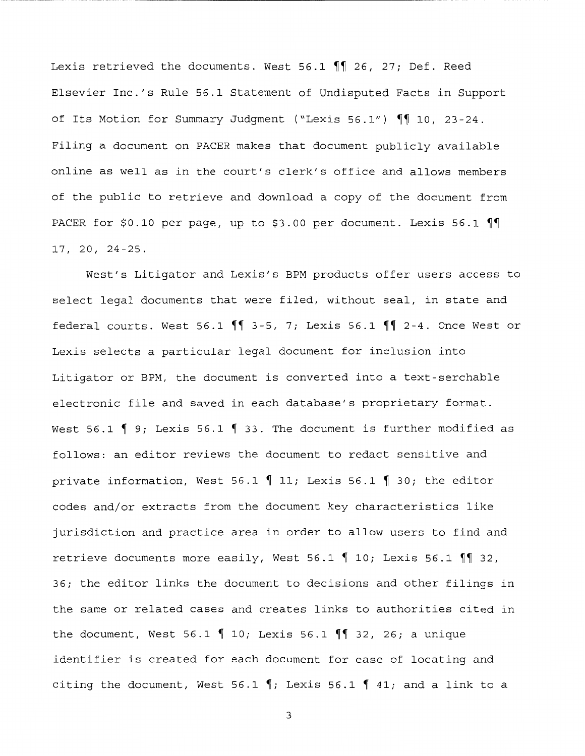Lexis retrieved the documents. West 56.1  $\P$  26, 27; Def. Reed Elsevier Inc.'s Rule 56.1 Statement of Undisputed Facts in Support of Its Motion for Summary Judgment ("Lexis  $56.1$ ")  $\P$ <sup>1</sup> 10, 23-24. Filing a document on PACER makes that document publicly available online as well as in the court's clerk's office and allows members of the public to retrieve and download a copy of the document from PACER for \$0.10 per page, up to \$3.00 per document. Lexis 56.1  $\P$ 17, 20, 24-25.

West's Litigator and Lexis's BPM products offer users access to select legal documents that were filed, without seal, in state and federal courts. West 56.1  $\P$  3-5, 7; Lexis 56.1  $\P$  2-4. Once West or Lexis selects a particular legal document for inclusion into Litigator or BPM, the document is converted into a text-serchable electronic file and saved in each database's proprietary format. West 56.1  $\parallel$  9; Lexis 56.1  $\parallel$  33. The document is further modified as follows: an editor reviews the document to redact sensitive and private information, West 56.1  $\parallel$  11; Lexis 56.1  $\parallel$  30; the editor codes and/or extracts from the document key characteristics like jurisdiction and practice area in order to allow users to find and retrieve documents more easily, West 56.1  $\parallel$  10; Lexis 56.1  $\parallel$  32, 36; the editor links the document to decisions and other filings in the same or related cases and creates links to authorities cited in the document, West 56.1  $\parallel$  10; Lexis 56.1  $\parallel$  32, 26; a unique identifier is created for each document for ease of locating and citing the document, West 56.1  $\parallel$ ; Lexis 56.1  $\parallel$  41; and a link to a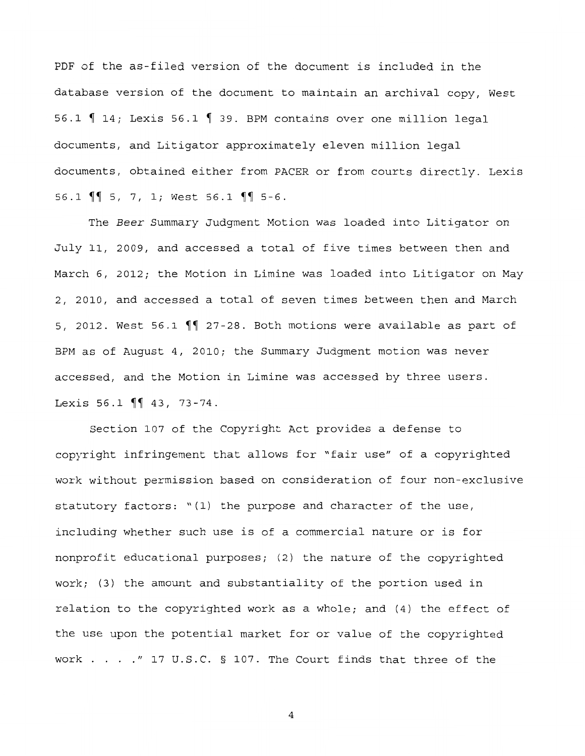PDF of the as-filed version of the document is included in the database version of the document to maintain an archival copy, West 56.1  $\parallel$  14; Lexis 56.1  $\parallel$  39. BPM contains over one million legal documents, and Litigator approximately eleven million legal documents, obtained either from PACER or from courts directly. Lexis 56.1  $\sqrt{\ }$  5, 7, 1; West 56.1  $\sqrt{\ }$  5-6.

The *Beer* Summary Judgment Motion was loaded into Litigator on July 11, 2009, and accessed a total of five times between then and March 6, 2012; the Motion in Limine was loaded into Litigator on May 2, 2010, and accessed a total of seven times between then and March 5, 2012. West 56.1  $\P$  27-28. Both motions were available as part of BPM as of August 4, 2010; the Summary Judgment motion was never accessed, and the Motion in Limine was accessed by three users. Lexis 56.1  $\P$ <sup> $\parallel$ </sup> 43, 73-74.

Section 107 of the Copyright Act provides a defense to copyright infringement that allows for "fair use" of a copyrighted work without permission based on consideration of four non-exclusive statutory factors: "(l) the purpose and character of the use, including whether such use is of a commercial nature or is for nonprofit educational purposes; (2) the nature of the copyrighted work; (3) the amount and substantiality of the portion used in relation to the copyrighted work as a whole; and (4) the effect of the use upon the potential market for or value of the copyrighted work  $\ldots$  . . . " 17 U.S.C. § 107. The Court finds that three of the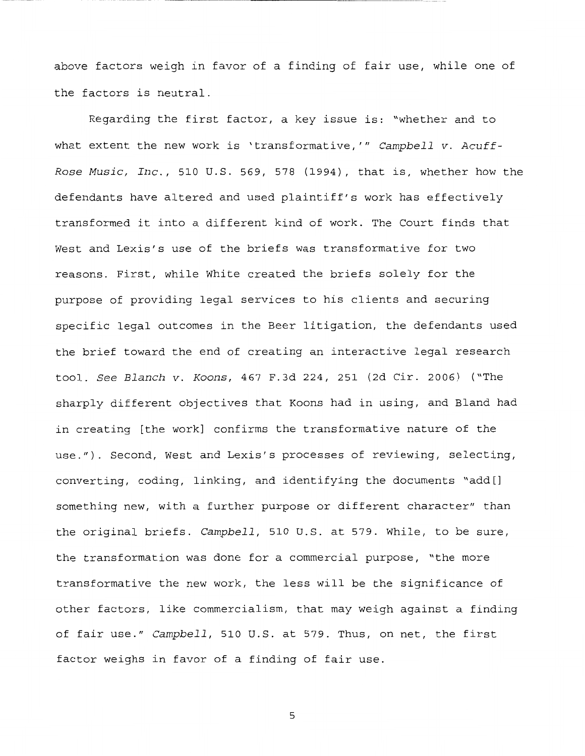above factors weigh in favor of a finding of fair use, while one of the factors is neutral.

Regarding the first factor, a key issue is: "whether and to what extent the new work is 'transformative, '" *Campbell v. Acuff-Rose Music, Inc.,* 510 U.S. 569, 578 (1994), that is, whether how the defendants have altered and used plaintiff's work has effectively transformed it into a different kind of work. The Court finds that West and Lexis's use of the briefs was transformative for two reasons. First, while White created the briefs solely for the purpose of providing legal services to his clients and securing specific legal outcomes in the Beer litigation, the defendants used the brief toward the end of creating an interactive legal research tool. *See Blanch v. Koons,* 467 F.3d 224, 251 (2d Cir. 2006) ("The sharply different objectives that Koons had in using, and Bland had in creating [the work] confirms the transformative nature of the use."). Second, West and Lexis's processes of reviewing, selecting, converting, coding, linking, and identifying the documents "add[] something new, with a further purpose or different character" than the original briefs. *Campbell,* 510 U.S. at 579. While, to be sure, the transformation was done for a commercial purpose, "the more transformative the new work, the less will be the significance of other factors, like commercialism, that may weigh against a finding of fair use." *Campbell,* 510 U.S. at 579. Thus, on net, the first factor weighs in favor of a finding of fair use.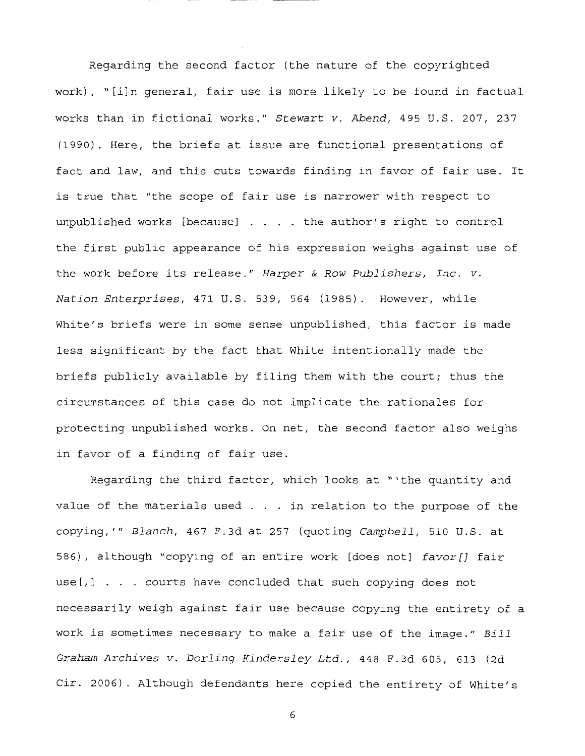Regarding the second factor (the nature of the copyrighted work), "[i]n general, fair use is more likely to be found in factual works than in fictional works." *Stewart v. Abend,* 495 U.S. 207, 237 (1990). Here, the briefs at issue are functional presentations of fact and law, and this cuts towards finding in favor of fair use. It is true that "the scope of fair use is narrower with respect to unpublished works [because]  $\ldots$  . the author's right to control the first public appearance of his expression weighs against use of the work before its release." *Harper* & *Row Publishers, Inc. v. Nation Enterprises,* 471 U.S. 539, 564 (1985). However, while White's briefs were in some sense unpublished, this factor is made less significant by the fact that White intentionally made the briefs publicly available by filing them with the court; thus the circumstances of this case do not implicate the rationales for protecting unpublished works. On net, the second factor also weighs in favor of a finding of fair use.

Regarding the third factor, which looks at "'the quantity and value of the materials used  $\ldots$  in relation to the purpose of the copying,'" *Blanch,* 467 F.3d at 257 (quoting *Campbell,* 510 U.S. at 586), although "copying of an entire work [does not] *favor[]* fair use[,] . courts have concluded that such copying does not necessarily weigh against fair use because copying the entirety of a work is sometimes necessary to make a fair use of the image." *Bill Graham Archives v. Darling Kindersley* Ltd., 448 F.3d 605, 613 (2d Cir. 2006). Although defendants here copied the entirety of White's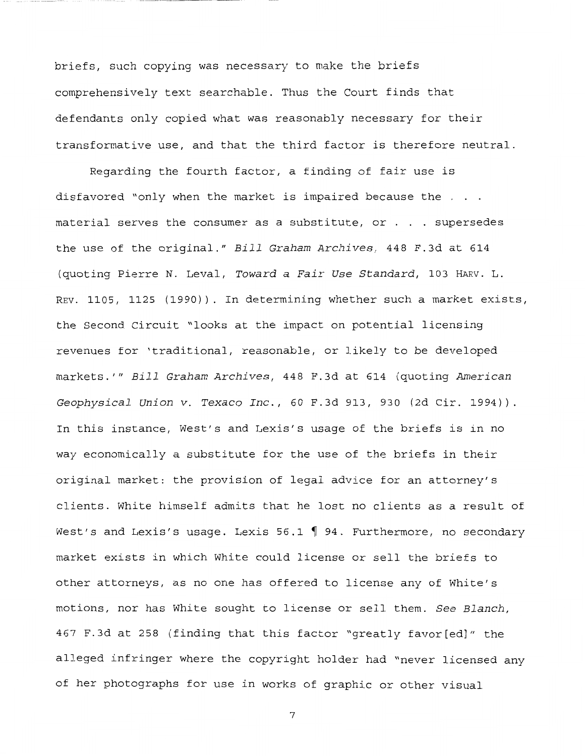briefs, such copying was necessary to make the briefs comprehensively text searchable. Thus the Court finds that defendants only copied what was reasonably necessary for their transformative use, and that the third factor is therefore neutral.

Regarding the fourth factor, a finding of fair use is disfavored "only when the market is impaired because the . . . material serves the consumer as a substitute, or . . supersedes the use of the original." *Bill Graham Archives,* 448 F.3d at 614 (quoting Pierre N. Leval, *Toward a Fair Use Standard,* 103 HARV. L. REV. 1105, 1125 (1990)). In determining whether such a market exists, the Second Circuit "looks at the impact on potential licensing revenues for 'traditional, reasonable, or likely to be developed markets.'" *Bill Graham Archives,* 448 F.3d at 614 (quoting *American Geophysical Union v. Texaco Inc.,* 60 F.3d 913, 930 (2d Cir. 1994)) In this instance, West's and Lexis's usage of the briefs is in no way economically a substitute for the use of the briefs in their original market: the provision of legal advice for an attorney's clients. White himself admits that he lost no clients as a result of West's and Lexis's usage. Lexis 56.1  $\parallel$  94. Furthermore, no secondary market exists in which White could license or sell the briefs to other attorneys, as no one has offered to license any of White's motions, nor has White sought to license or sell them. *See Blanch,*  467 F.3d at 258 (finding that this factor "greatly favor[ed]" the alleged infringer where the copyright holder had "never licensed any of her photographs for use in works of graphic or other visual